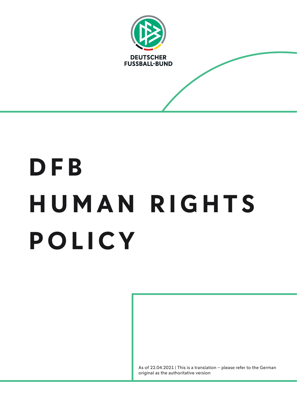

# **DFB H U M A N R I G H T S POLICY**

As of 22.04.2021 | This is a translation – please refer to the German original as the authoritative version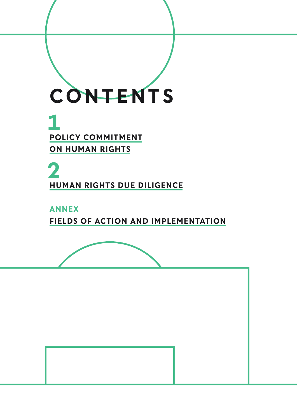

**HUMAN RIGHTS DUE DILIGENCE 2**

**ANNEX FIELDS OF ACTION AND IMPLEMENTATION**



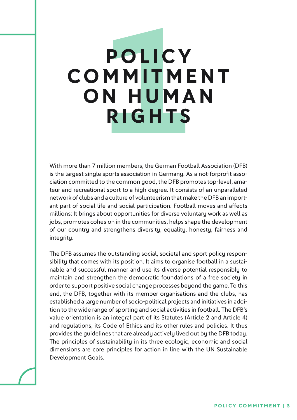# **P O L I C Y C O M M I T M E N T O N H U M A N RIGHTS**

With more than 7 million members, the German Football Association (DFB) is the largest single sports association in Germany. As a not-forprofit association committed to the common good, the DFB promotes top-level, amateur and recreational sport to a high degree. It consists of an unparalleled network of clubs and a culture of volunteerism that make the DFB an important part of social life and social participation. Football moves and affects millions: It brings about opportunities for diverse voluntary work as well as jobs, promotes cohesion in the communities, helps shape the development of our country and strengthens diversity, equality, honesty, fairness and integrity.

The DFB assumes the outstanding social, societal and sport policy responsibility that comes with its position. It aims to organise football in a sustainable and successful manner and use its diverse potential responsibly to maintain and strengthen the democratic foundations of a free society in order to support positive social change processes beyond the game. To this end, the DFB, together with its member organisations and the clubs, has established a large number of socio-political projects and initiatives in addition to the wide range of sporting and social activities in football. The DFB's value orientation is an integral part of its Statutes (Article 2 and Article 4) and regulations, its Code of Ethics and its other rules and policies. It thus provides the guidelines that are already actively lived out by the DFB today. The principles of sustainability in its three ecologic, economic and social dimensions are core principles for action in line with the UN Sustainable Development Goals.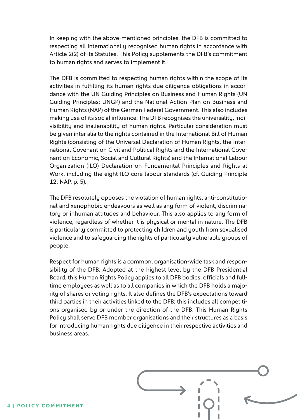In keeping with the above-mentioned principles, the DFB is committed to respecting all internationally recognised human rights in accordance with Article 2(2) of its Statutes. This Policy supplements the DFB's commitment to human rights and serves to implement it.

The DFB is committed to respecting human rights within the scope of its activities in fulfilling its human rights due diligence obligations in accordance with the UN Guiding Principles on Business and Human Rights (UN Guiding Principles; UNGP) and the National Action Plan on Business and Human Rights (NAP) of the German Federal Government. This also includes making use of its social influence. The DFB recognises the universality, indivisibility and inalienability of human rights. Particular consideration must be given inter alia to the rights contained in the International Bill of Human Rights (consisting of the Universal Declaration of Human Rights, the International Covenant on Civil and Political Rights and the International Covenant on Economic, Social and Cultural Rights) and the International Labour Organization (ILO) Declaration on Fundamental Principles and Rights at Work, including the eight ILO core labour standards (cf. Guiding Principle 12; NAP, p. 5).

The DFB resolutely opposes the violation of human rights, anti-constitutional and xenophobic endeavours as well as any form of violent, discriminatory or inhuman attitudes and behaviour. This also applies to any form of violence, regardless of whether it is physical or mental in nature. The DFB is particularly committed to protecting children and youth from sexualised violence and to safeguarding the rights of particularly vulnerable groups of people.

Respect for human rights is a common, organisation-wide task and responsibility of the DFB. Adopted at the highest level by the DFB Presidential Board, this Human Rights Policy applies to all DFB bodies, officials and fulltime employees as well as to all companies in which the DFB holds a majority of shares or voting rights. It also defines the DFB's expectations toward third parties in their activities linked to the DFB; this includes all competitions organised by or under the direction of the DFB. This Human Rights Policy shall serve DFB member organisations and their structures as a basis for introducing human rights due diligence in their respective activities and business areas.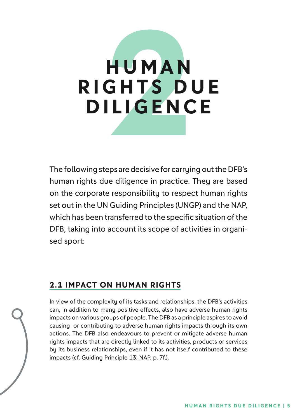# **H U M A N R I G H T S D U E DILIGENCE**

The following steps are decisive for carrying out the DFB's human rights due diligence in practice. They are based on the corporate responsibility to respect human rights set out in the UN Guiding Principles (UNGP) and the NAP, which has been transferred to the specific situation of the DFB, taking into account its scope of activities in organised sport:

# **2.1 IMPACT ON HUMAN RIGHTS**

In view of the complexity of its tasks and relationships, the DFB's activities can, in addition to many positive effects, also have adverse human rights impacts on various groups of people. The DFB as a principle aspires to avoid causing or contributing to adverse human rights impacts through its own actions. The DFB also endeavours to prevent or mitigate adverse human rights impacts that are directly linked to its activities, products or services by its business relationships, even if it has not itself contributed to these impacts (cf. Guiding Principle 13; NAP, p. 7f.).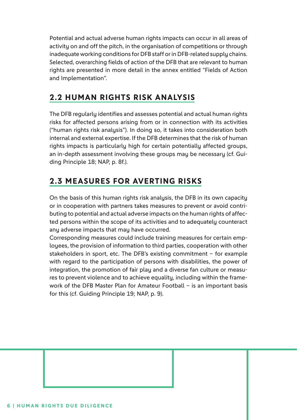Potential and actual adverse human rights impacts can occur in all areas of activity on and off the pitch, in the organisation of competitions or through inadequate working conditions for DFB staff or in DFB-related supply chains. Selected, overarching fields of action of the DFB that are relevant to human rights are presented in more detail in the annex entitled "Fields of Action and Implementation".

# **2.2 HUMAN RIGHTS RISK ANALYSIS**

The DFB regularly identifies and assesses potential and actual human rights risks for affected persons arising from or in connection with its activities ("human rights risk analysis"). In doing so, it takes into consideration both internal and external expertise. If the DFB determines that the risk of human rights impacts is particularly high for certain potentially affected groups, an in-depth assessment involving these groups may be necessary (cf. Guiding Principle 18; NAP, p. 8f.).

# **2.3 MEASURES FOR AVERTING RISKS**

On the basis of this human rights risk analysis, the DFB in its own capacity or in cooperation with partners takes measures to prevent or avoid contributing to potential and actual adverse impacts on the human rights of affected persons within the scope of its activities and to adequately counteract any adverse impacts that may have occurred.

Corresponding measures could include training measures for certain employees, the provision of information to third parties, cooperation with other stakeholders in sport, etc. The DFB's existing commitment – for example with regard to the participation of persons with disabilities, the power of integration, the promotion of fair play and a diverse fan culture or measures to prevent violence and to achieve equality, including within the framework of the DFB Master Plan for Amateur Football – is an important basis for this (cf. Guiding Principle 19; NAP, p. 9).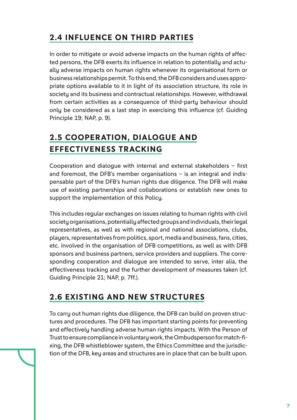# **2.4 INFLUENCE ON THIRD PARTIES**

In order to mitigate or avoid adverse impacts on the human rights of affected persons, the DFB exerts its influence in relation to potentially and actually adverse impacts on human rights whenever its organisational form or business relationships permit. To this end, the DFB considers and uses appropriate options available to it in light of its association structure, its role in society and its business and contractual relationships. However, withdrawal from certain activities as a consequence of third-party behaviour should only be considered as a last step in exercising this influence (cf. Guiding Principle 19; NAP, p. 9).

# **2.5 COOPERATION, DIALOGUE AND EFFECTIVENESS TRACKING**

Cooperation and dialogue with internal and external stakeholders – first and foremost, the DFB's member organisations – is an integral and indispensable part of the DFB's human rights due diligence. The DFB will make use of existing partnerships and collaborations or establish new ones to support the implementation of this Policy.

This includes regular exchanges on issues relating to human rights with civil society organisations, potentially affected groups and individuals, their legal representatives, as well as with regional and national associations, clubs, players, representatives from politics, sport, media and business, fans, cities, etc. involved in the organisation of DFB competitions, as well as with DFB sponsors and business partners, service providers and suppliers. The corresponding cooperation and dialogue are intended to serve, inter alia, the effectiveness tracking and the further development of measures taken (cf. Guiding Principle 21; NAP, p. 7ff.).

## **2.6 EXISTING AND NEW STRUCTURES**

To carry out human rights due diligence, the DFB can build on proven structures and procedures. The DFB has important starting points for preventing and effectively handling adverse human rights impacts. With the Person of Trust to ensure compliance in voluntary work, the Ombudsperson for match-fixing, the DFB whistleblower system, the Ethics Committee and the jurisdiction of the DFB, key areas and structures are in place that can be built upon.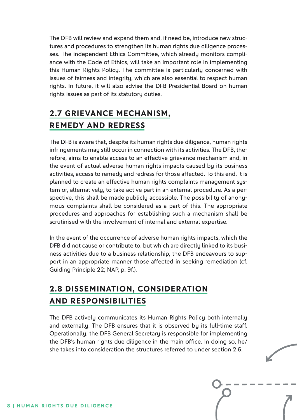The DFB will review and expand them and, if need be, introduce new structures and procedures to strengthen its human rights due diligence processes. The independent Ethics Committee, which already monitors compliance with the Code of Ethics, will take an important role in implementing this Human Rights Policy. The committee is particularly concerned with issues of fairness and integrity, which are also essential to respect human rights. In future, it will also advise the DFB Presidential Board on human rights issues as part of its statutory duties.

# **2.7 GRIEVANCE MECHANISM, REMEDY AND REDRESS**

The DFB is aware that, despite its human rights due diligence, human rights infringements may still occur in connection with its activities. The DFB, therefore, aims to enable access to an effective grievance mechanism and, in the event of actual adverse human rights impacts caused by its business activities, access to remedy and redress for those affected. To this end, it is planned to create an effective human rights complaints management system or, alternatively, to take active part in an external procedure. As a perspective, this shall be made publicly accessible. The possibility of anonymous complaints shall be considered as a part of this. The appropriate procedures and approaches for establishing such a mechanism shall be scrutinised with the involvement of internal and external expertise.

In the event of the occurrence of adverse human rights impacts, which the DFB did not cause or contribute to, but which are directly linked to its business activities due to a business relationship, the DFB endeavours to support in an appropriate manner those affected in seeking remediation (cf. Guiding Principle 22; NAP, p. 9f.).

# **2.8 DISSEMINATION, CONSIDERATION AND RESPONSIBILITIES**

The DFB actively communicates its Human Rights Policy both internally and externally. The DFB ensures that it is observed by its full-time staff. Operationally, the DFB General Secretary is responsible for implementing the DFB's human rights due diligence in the main office. In doing so, he/ she takes into consideration the structures referred to under section 2.6.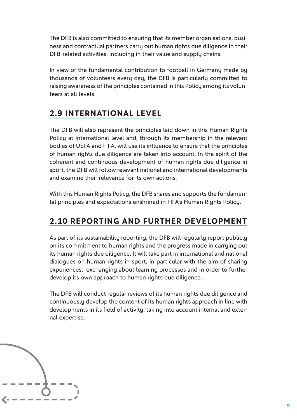The DFB is also committed to ensuring that its member organisations, business and contractual partners carry out human rights due diligence in their DFB-related activities, including in their value and supply chains.

In view of the fundamental contribution to football in Germany made by thousands of volunteers every day, the DFB is particularly committed to raising awareness of the principles contained in this Policy among its volunteers at all levels.

## **2.9 INTERNATIONAL LEVEL**

The DFB will also represent the principles laid down in this Human Rights Policy at international level and, through its membership in the relevant bodies of UEFA and FIFA, will use its influence to ensure that the principles of human rights due diligence are taken into account. In the spirit of the coherent and continuous development of human rights due diligence in sport, the DFB will follow relevant national and international developments and examine their relevance for its own actions.

With this Human Rights Policy, the DFB shares and supports the fundamental principles and expectations enshrined in FIFA's Human Rights Policy.

# **2.10 REPORTING AND FURTHER DEVELOPMENT**

As part of its sustainability reporting, the DFB will regularly report publicly on its commitment to human rights and the progress made in carrying out its human rights due diligence. It will take part in international and national dialogues on human rights in sport, in particular with the aim of sharing experiences, exchanging about learning processes and in order to further develop its own approach to human rights due diligence.

The DFB will conduct regular reviews of its human rights due diligence and continuously develop the content of its human rights approach in line with developments in its field of activity, taking into account internal and external expertise.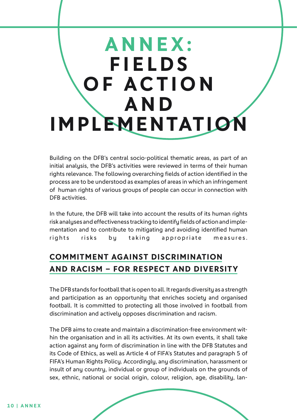# **ANNEX: FIELDS OF ACTION A N D IMPLEMENTATION**

Building on the DFB's central socio-political thematic areas, as part of an initial analysis, the DFB's activities were reviewed in terms of their human rights relevance. The following overarching fields of action identified in the process are to be understood as examples of areas in which an infringement of human rights of various groups of people can occur in connection with DFB activities.

In the future, the DFB will take into account the results of its human rights risk analyses and effectiveness tracking to identify fields of action and implementation and to contribute to mitigating and avoiding identified human rights risks by taking appropriate measures.

# **COMMITMENT AGAINST DISCRIMINATION AND RACISM – FOR RESPECT AND DIVERSITY**

The DFB stands for football that is open to all. It regards diversity as a strength and participation as an opportunity that enriches society and organised football. It is committed to protecting all those involved in football from discrimination and actively opposes discrimination and racism.

The DFB aims to create and maintain a discrimination-free environment within the organisation and in all its activities. At its own events, it shall take action against any form of discrimination in line with the DFB Statutes and its Code of Ethics, as well as Article 4 of FIFA's Statutes and paragraph 5 of FIFA's Human Rights Policy. Accordingly, any discrimination, harassment or insult of any country, individual or group of individuals on the grounds of sex, ethnic, national or social origin, colour, religion, age, disability, lan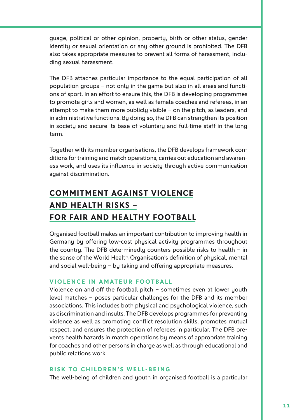guage, political or other opinion, property, birth or other status, gender identity or sexual orientation or any other ground is prohibited. The DFB also takes appropriate measures to prevent all forms of harassment, including sexual harassment.

The DFB attaches particular importance to the equal participation of all population groups – not only in the game but also in all areas and functions of sport. In an effort to ensure this, the DFB is developing programmes to promote girls and women, as well as female coaches and referees, in an attempt to make them more publicly visible – on the pitch, as leaders, and in administrative functions. By doing so, the DFB can strengthen its position in society and secure its base of voluntary and full-time staff in the long term.

Together with its member organisations, the DFB develops framework conditions for training and match operations, carries out education and awareness work, and uses its influence in society through active communication against discrimination.

# **COMMITMENT AGAINST VIOLENCE AND HEALTH RISKS – FOR FAIR AND HEALTHY FOOTBALL**

Organised football makes an important contribution to improving health in Germany by offering low-cost physical activity programmes throughout the country. The DFB determinedly counters possible risks to health – in the sense of the World Health Organisation's definition of physical, mental and social well-being – by taking and offering appropriate measures.

### **VIOLENCE IN AMATEUR FOOTBALL**

Violence on and off the football pitch – sometimes even at lower youth level matches – poses particular challenges for the DFB and its member associations. This includes both physical and psychological violence, such as discrimination and insults. The DFB develops programmes for preventing violence as well as promoting conflict resolution skills, promotes mutual respect, and ensures the protection of referees in particular. The DFB prevents health hazards in match operations by means of appropriate training for coaches and other persons in charge as well as through educational and public relations work.

### **RISK TO CHILDREN'S WELL-BEING**

The well-being of children and youth in organised football is a particular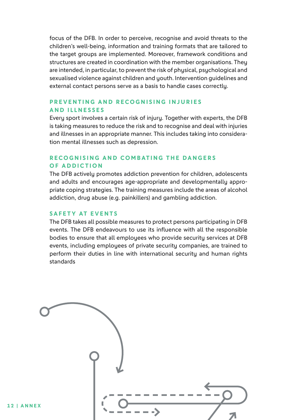focus of the DFB. In order to perceive, recognise and avoid threats to the children's well-being, information and training formats that are tailored to the target groups are implemented. Moreover, framework conditions and structures are created in coordination with the member organisations. They are intended, in particular, to prevent the risk of physical, psychological and sexualised violence against children and youth. Intervention guidelines and external contact persons serve as a basis to handle cases correctly.

### **PREVENTING AND RECOGNISING INJURIES AND ILLNESSES**

Every sport involves a certain risk of injury. Together with experts, the DFB is taking measures to reduce the risk and to recognise and deal with injuries and illnesses in an appropriate manner. This includes taking into consideration mental illnesses such as depression.

### **RECOGNISING AND COMBATING THE DANGERS OF ADDICTION**

The DFB actively promotes addiction prevention for children, adolescents and adults and encourages age-appropriate and developmentally appropriate coping strategies. The training measures include the areas of alcohol addiction, drug abuse (e.g. painkillers) and gambling addiction.

#### **SAFETY AT EVENTS**

The DFB takes all possible measures to protect persons participating in DFB events. The DFB endeavours to use its influence with all the responsible bodies to ensure that all employees who provide security services at DFB events, including employees of private security companies, are trained to perform their duties in line with international security and human rights standards

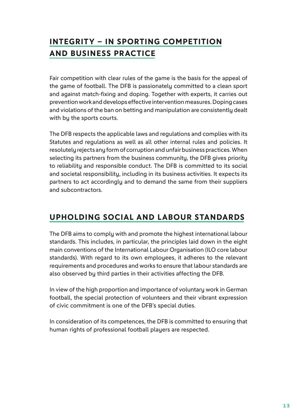# **INTEGRITY – IN SPORTING COMPETITION AND BUSINESS PRACTICE**

Fair competition with clear rules of the game is the basis for the appeal of the game of football. The DFB is passionately committed to a clean sport and against match-fixing and doping. Together with experts, it carries out prevention work and develops effective intervention measures. Doping cases and violations of the ban on betting and manipulation are consistently dealt with by the sports courts.

The DFB respects the applicable laws and regulations and complies with its Statutes and regulations as well as all other internal rules and policies. It resolutely rejects any form of corruption and unfair business practices. When selecting its partners from the business community, the DFB gives priority to reliability and responsible conduct. The DFB is committed to its social and societal responsibility, including in its business activities. It expects its partners to act accordingly and to demand the same from their suppliers and subcontractors.

## **UPHOLDING SOCIAL AND LABOUR STANDARDS**

The DFB aims to comply with and promote the highest international labour standards. This includes, in particular, the principles laid down in the eight main conventions of the International Labour Organisation (ILO core labour standards). With regard to its own employees, it adheres to the relevant requirements and procedures and works to ensure that labour standards are also observed by third parties in their activities affecting the DFB.

In view of the high proportion and importance of voluntary work in German football, the special protection of volunteers and their vibrant expression of civic commitment is one of the DFB's special duties.

In consideration of its competences, the DFB is committed to ensuring that human rights of professional football players are respected.